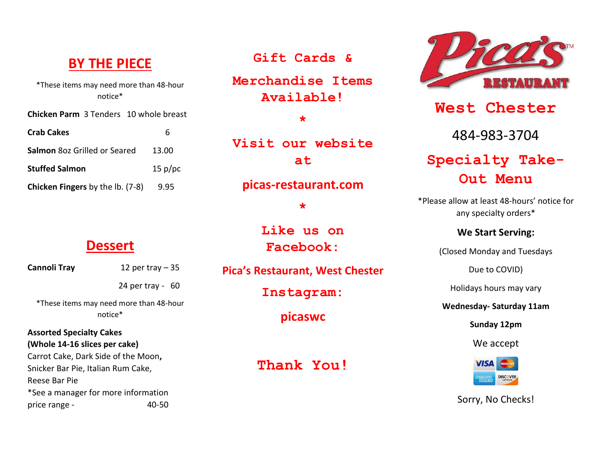### **BY THE PIECE**

\*These items may need more than 48-hour notice\*

**Chicken Parm** 3 Tenders 10 whole breast

| <b>Crab Cakes</b>                       |         |
|-----------------------------------------|---------|
| <b>Salmon 80z Grilled or Seared</b>     | 13.00   |
| <b>Stuffed Salmon</b>                   | 15 p/pc |
| <b>Chicken Fingers</b> by the lb. (7-8) | 9.95    |

#### **Dessert**

| Cannoli Tray | 12 per tray $-35$ |  |
|--------------|-------------------|--|
|              |                   |  |

\*These items may need more than 48-hour notice\*

24 per tray - 60

#### **Assorted Specialty Cakes (Whole 14-16 slices per cake)**

Carrot Cake, Dark Side of the Moon**,** Snicker Bar Pie, Italian Rum Cake, Reese Bar Pie \*See a manager for more information price range - 40-50

**Gift Cards &**

**Merchandise Items Available!**

**\***

**Visit our website at**

**picas-restaurant.com**

**\***

**Like us on Facebook:**

**Pica's Restaurant, West Chester**

**Instagram:**

**picaswc**

**Thank You!**



**West Chester** 484-983-3704

# **Specialty Take-Out Menu**

\*Please allow at least 48-hours' notice for any specialty orders\*

#### **We Start Serving:**

(Closed Monday and Tuesdays

Due to COVID)

Holidays hours may vary

**Wednesday- Saturday 11am**

**Sunday 12pm**

We accept



Sorry, No Checks!